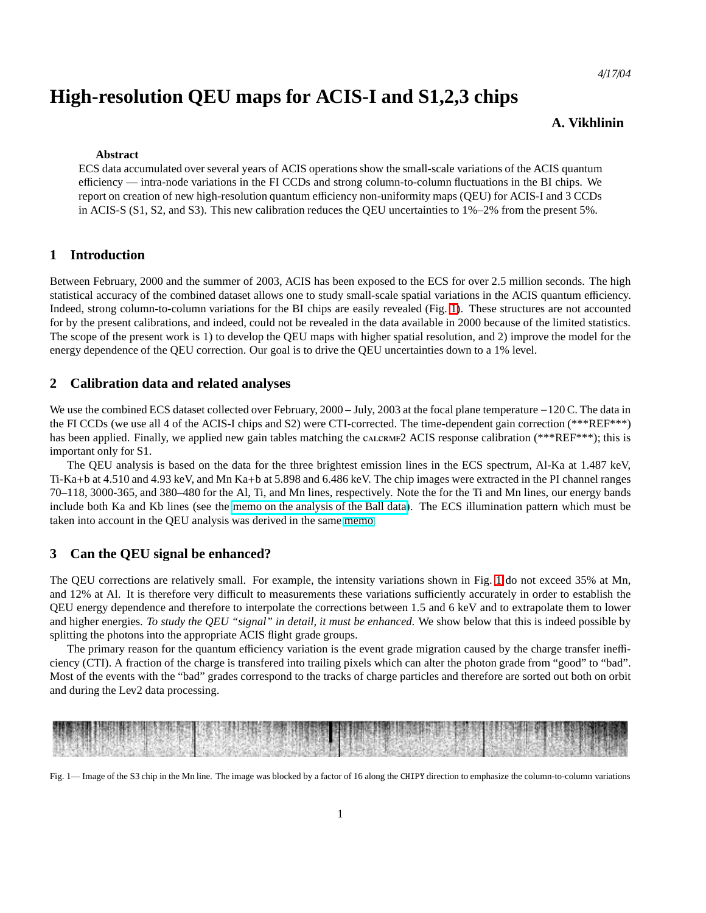*4*/*17*/*04*

# **High-resolution QEU maps for ACIS-I and S1,2,3 chips**

# **A. Vikhlinin**

#### **Abstract**

ECS data accumulated over several years of ACIS operations show the small-scale variations of the ACIS quantum efficiency — intra-node variations in the FI CCDs and strong column-to-column fluctuations in the BI chips. We report on creation of new high-resolution quantum efficiency non-uniformity maps (QEU) for ACIS-I and 3 CCDs in ACIS-S (S1, S2, and S3). This new calibration reduces the QEU uncertainties to 1%–2% from the present 5%.

# **1 Introduction**

Between February, 2000 and the summer of 2003, ACIS has been exposed to the ECS for over 2.5 million seconds. The high statistical accuracy of the combined dataset allows one to study small-scale spatial variations in the ACIS quantum efficiency. Indeed, strong column-to-column variations for the BI chips are easily revealed (Fig. [1\)](#page-0-0). These structures are not accounted for by the present calibrations, and indeed, could not be revealed in the data available in 2000 because of the limited statistics. The scope of the present work is 1) to develop the QEU maps with higher spatial resolution, and 2) improve the model for the energy dependence of the QEU correction. Our goal is to drive the QEU uncertainties down to a 1% level.

# **2 Calibration data and related analyses**

We use the combined ECS dataset collected over February, 2000 – July, 2003 at the focal plane temperature −120 C. The data in the FI CCDs (we use all 4 of the ACIS-I chips and S2) were CTI-corrected. The time-dependent gain correction (\*\*\*REF\*\*\*) has been applied. Finally, we applied new gain tables matching the CALCRMF2 ACIS response calibration (\*\*\*REF\*\*\*); this is important only for S1.

The QEU analysis is based on the data for the three brightest emission lines in the ECS spectrum, Al-Ka at 1.487 keV, Ti-Ka+b at 4.510 and 4.93 keV, and Mn Ka+b at 5.898 and 6.486 keV. The chip images were extracted in the PI channel ranges 70–118, 3000-365, and 380–480 for the Al, Ti, and Mn lines, respectively. Note the for the Ti and Mn lines, our energy bands include both Ka and Kb lines (see the [memo on the analysis of the Ball data\)](http://hea-www.harvard.edu/~alexey/acis/memos/balldata.pdf). The ECS illumination pattern which must be taken into account in the QEU analysis was derived in the same [memo.](http://hea-www.harvard.edu/~alexey/acis/memos/balldata.pdf)

## **3 Can the QEU signal be enhanced?**

The QEU corrections are relatively small. For example, the intensity variations shown in Fig. [1](#page-0-0) do not exceed 35% at Mn, and 12% at Al. It is therefore very difficult to measurements these variations sufficiently accurately in order to establish the QEU energy dependence and therefore to interpolate the corrections between 1.5 and 6 keV and to extrapolate them to lower and higher energies. *To study the QEU "signal" in detail, it must be enhanced.* We show below that this is indeed possible by splitting the photons into the appropriate ACIS flight grade groups.

The primary reason for the quantum efficiency variation is the event grade migration caused by the charge transfer inefficiency (CTI). A fraction of the charge is transfered into trailing pixels which can alter the photon grade from "good" to "bad". Most of the events with the "bad" grades correspond to the tracks of charge particles and therefore are sorted out both on orbit and during the Lev2 data processing.



<span id="page-0-0"></span>Fig. 1— Image of the S3 chip in the Mn line. The image was blocked by a factor of 16 along the CHIPY direction to emphasize the column-to-column variations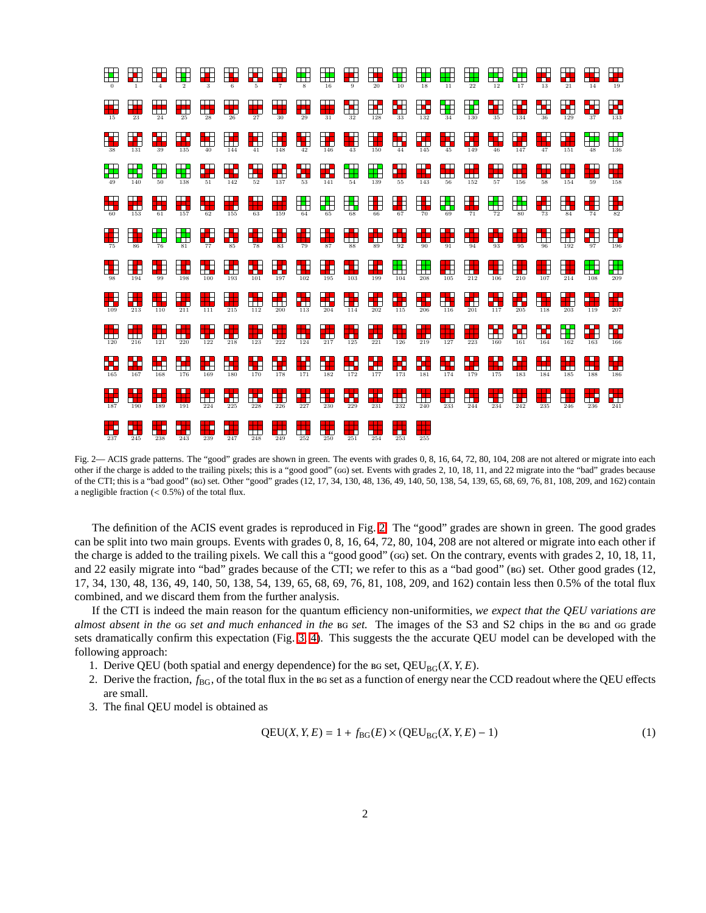

<span id="page-1-0"></span>Fig. 2— ACIS grade patterns. The "good" grades are shown in green. The events with grades 0, 8, 16, 64, 72, 80, 104, 208 are not altered or migrate into each other if the charge is added to the trailing pixels; this is a "good good" (GG) set. Events with grades 2, 10, 18, 11, and 22 migrate into the "bad" grades because of the CTI; this is a "bad good" () set. Other "good" grades (12, 17, 34, 130, 48, 136, 49, 140, 50, 138, 54, 139, 65, 68, 69, 76, 81, 108, 209, and 162) contain a negligible fraction  $(< 0.5\%)$  of the total flux.

The definition of the ACIS event grades is reproduced in Fig. [2.](#page-1-0) The "good" grades are shown in green. The good grades can be split into two main groups. Events with grades 0, 8, 16, 64, 72, 80, 104, 208 are not altered or migrate into each other if the charge is added to the trailing pixels. We call this a "good good" (GG) set. On the contrary, events with grades 2, 10, 18, 11, and 22 easily migrate into "bad" grades because of the CTI; we refer to this as a "bad good" (BG) set. Other good grades (12, 17, 34, 130, 48, 136, 49, 140, 50, 138, 54, 139, 65, 68, 69, 76, 81, 108, 209, and 162) contain less then 0.5% of the total flux combined, and we discard them from the further analysis.

If the CTI is indeed the main reason for the quantum efficiency non-uniformities, *we expect that the QEU variations are almost absent in the* GG set and much enhanced in the BG set. The images of the S3 and S2 chips in the BG and GG grade sets dramatically confirm this expectation (Fig. [3,](#page-2-0) [4\)](#page-2-1). This suggests the the accurate QEU model can be developed with the following approach:

- 1. Derive QEU (both spatial and energy dependence) for the  $B_0$  set,  $QEU_{BG}(X, Y, E)$ .
- 2. Derive the fraction,  $f_{BG}$ , of the total flux in the  $BGS$  as a function of energy near the CCD readout where the QEU effects are small.
- 3. The final QEU model is obtained as

<span id="page-1-1"></span>
$$
QEU(X, Y, E) = 1 + f_{BG}(E) \times (QEU_{BG}(X, Y, E) - 1)
$$
\n
$$
(1)
$$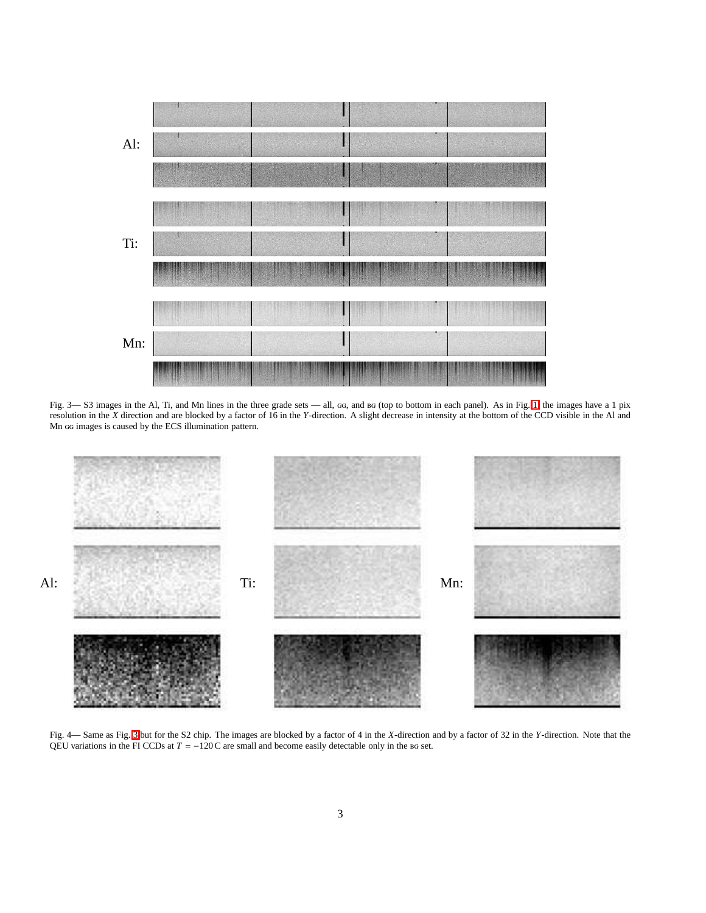

<span id="page-2-0"></span>Fig. 3— S3 images in the Al, Ti, and Mn lines in the three grade sets — all,  $\alpha$ , and  $\alpha$  (top to bottom in each panel). As in Fig. [1,](#page-0-0) the images have a 1 pix resolution in the *X* direction and are blocked by a factor of 16 in the *Y*-direction. A slight decrease in intensity at the bottom of the CCD visible in the Al and Mn GG images is caused by the ECS illumination pattern.



<span id="page-2-1"></span>Fig. 4— Same as Fig. [3](#page-2-0) but for the S2 chip. The images are blocked by a factor of 4 in the *X*-direction and by a factor of 32 in the *Y*-direction. Note that the QEU variations in the FI CCDs at  $T = -120$  C are small and become easily detectable only in the BG set.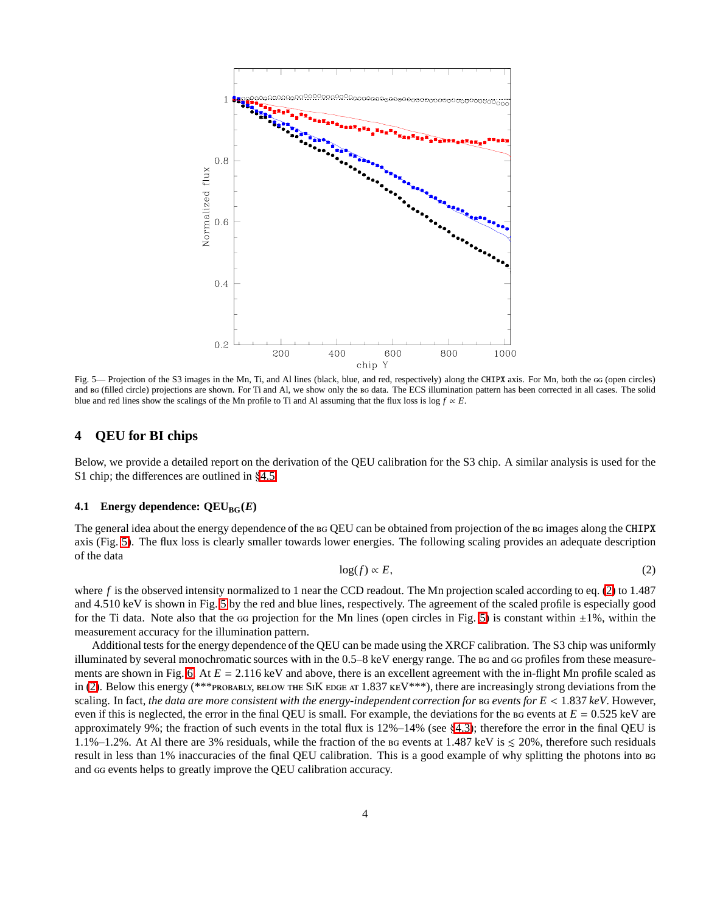

<span id="page-3-0"></span>Fig. 5— Projection of the S3 images in the Mn, Ti, and Al lines (black, blue, and red, respectively) along the CHIPX axis. For Mn, both the GG (open circles) and BG (filled circle) projections are shown. For Ti and Al, we show only the BG data. The ECS illumination pattern has been corrected in all cases. The solid blue and red lines show the scalings of the Mn profile to Ti and Al assuming that the flux loss is log  $f \propto E$ .

# **4 QEU for BI chips**

Below, we provide a detailed report on the derivation of the QEU calibration for the S3 chip. A similar analysis is used for the S1 chip; the differences are outlined in §[4.5.](#page-7-0)

#### <span id="page-3-2"></span>**4.1 Energy dependence:**  $QEU_{BG}(E)$

The general idea about the energy dependence of the BG QEU can be obtained from projection of the BG images along the CHIPX axis (Fig. [5\)](#page-3-0). The flux loss is clearly smaller towards lower energies. The following scaling provides an adequate description of the data

<span id="page-3-1"></span>
$$
\log(f) \propto E,\tag{2}
$$

where *f* is the observed intensity normalized to 1 near the CCD readout. The Mn projection scaled according to eq. [\(2\)](#page-3-1) to 1.487 and 4.510 keV is shown in Fig. [5](#page-3-0) by the red and blue lines, respectively. The agreement of the scaled profile is especially good for the Ti data. Note also that the  $\alpha$  projection for the Mn lines (open circles in Fig. [5\)](#page-3-0) is constant within  $\pm 1\%$ , within the measurement accuracy for the illumination pattern.

Additional tests for the energy dependence of the QEU can be made using the XRCF calibration. The S3 chip was uniformly illuminated by several monochromatic sources with in the 0.5–8 keV energy range. The BG and GG profiles from these measure-ments are shown in Fig. [6.](#page-4-0) At  $E = 2.116 \text{ keV}$  and above, there is an excellent agreement with the in-flight Mn profile scaled as in [\(2\)](#page-3-1). Below this energy (\*\*\* $P$ ROBABLY, BELOW THE SIK EDGE AT 1.837 KEV\*\*\*), there are increasingly strong deviations from the scaling. In fact, *the data are more consistent with the energy-independent correction for events for E* < 1.837 *keV*. However, even if this is neglected, the error in the final QEU is small. For example, the deviations for the  $B_6$  events at  $E = 0.525$  keV are approximately 9%; the fraction of such events in the total flux is 12%–14% (see §[4.3\)](#page-6-0); therefore the error in the final QEU is 1.1%–1.2%. At Al there are 3% residuals, while the fraction of the BG events at 1.487 keV is  $\leq 20\%$ , therefore such residuals result in less than 1% inaccuracies of the final QEU calibration. This is a good example of why splitting the photons into and  $\alpha$  events helps to greatly improve the QEU calibration accuracy.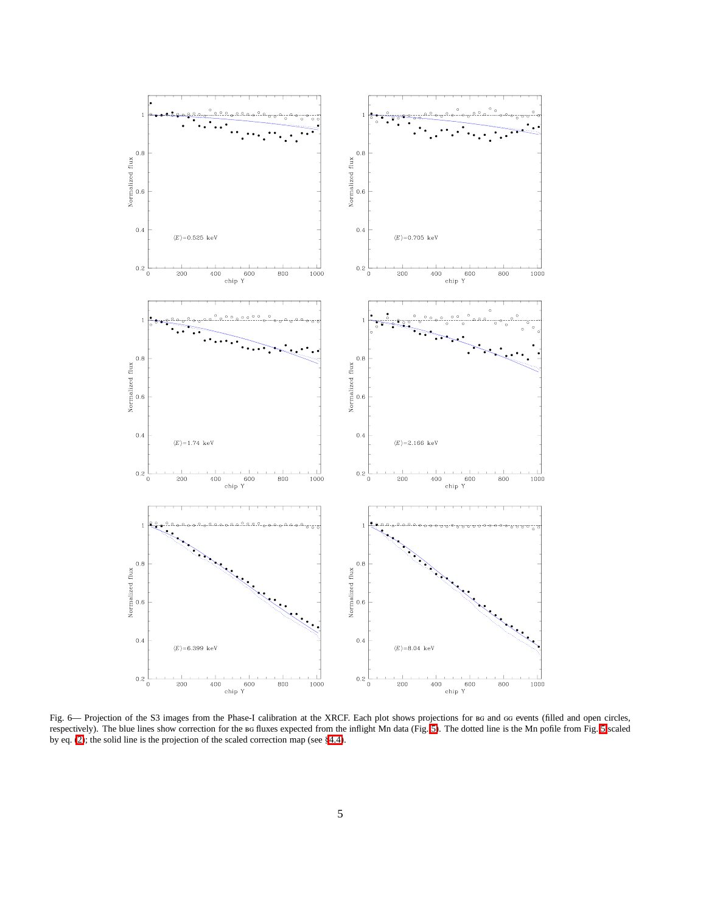

<span id="page-4-0"></span>Fig. 6— Projection of the S3 images from the Phase-I calibration at the XRCF. Each plot shows projections for BG and GG events (filled and open circles, respectively). The blue lines show correction for the BG fluxes expected from the inflight Mn data (Fig. [5\)](#page-3-0). The dotted line is the Mn pofile from Fig. [5](#page-3-0) scaled by eq. [\(2\)](#page-3-1); the solid line is the projection of the scaled correction map (see §[4.4\)](#page-6-1).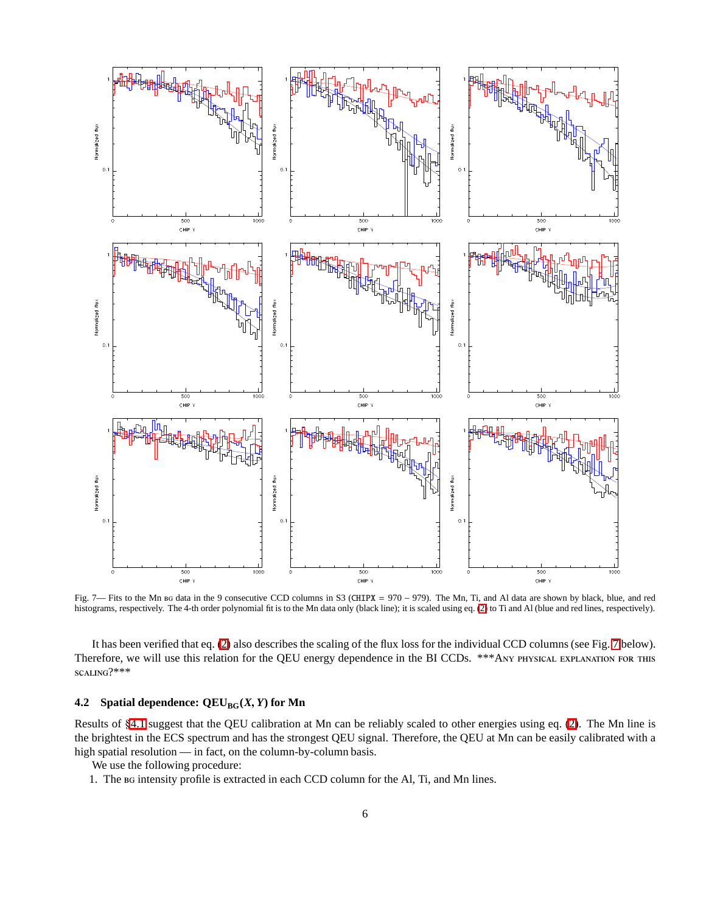

<span id="page-5-0"></span>Fig. 7— Fits to the Mn BG data in the 9 consecutive CCD columns in S3 (CHIPX = 970 – 979). The Mn, Ti, and Al data are shown by black, blue, and red histograms, respectively. The 4-th order polynomial fit is to the Mn data only (black line); it is scaled using eq. [\(2\)](#page-3-1) to Ti and Al (blue and red lines, respectively).

It has been verified that eq. [\(2\)](#page-3-1) also describes the scaling of the flux loss for the individual CCD columns (see Fig. [7](#page-5-0) below). Therefore, we will use this relation for the QEU energy dependence in the BI CCDs. \*\*\* ANY PHYSICAL EXPLANATION FOR THIS scaling?\*\*\*

# <span id="page-5-1"></span>**4.2** Spatial dependence:  $QEU_{BG}(X, Y)$  for Mn

Results of §[4.1](#page-3-2) suggest that the QEU calibration at Mn can be reliably scaled to other energies using eq. [\(2\)](#page-3-1). The Mn line is the brightest in the ECS spectrum and has the strongest QEU signal. Therefore, the QEU at Mn can be easily calibrated with a high spatial resolution — in fact, on the column-by-column basis.

We use the following procedure:

1. The BG intensity profile is extracted in each CCD column for the Al, Ti, and Mn lines.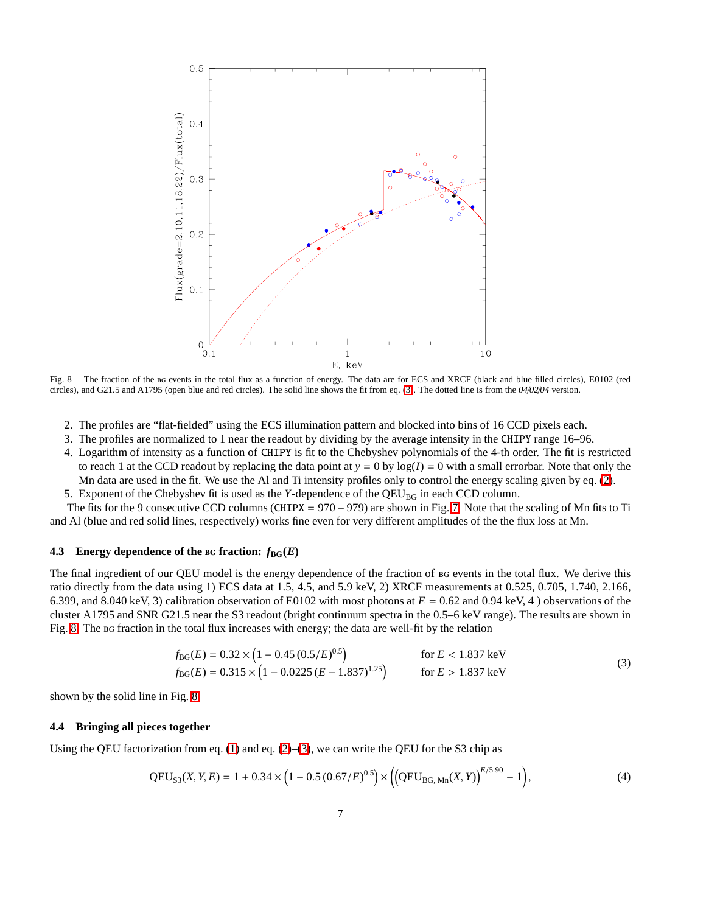

<span id="page-6-3"></span>Fig. 8— The fraction of the BG events in the total flux as a function of energy. The data are for ECS and XRCF (black and blue filled circles), E0102 (red circles), and G21.5 and A1795 (open blue and red circles). The solid line shows the fit from eq. [\(3\)](#page-6-2). The dotted line is from the *04*/*02*/*04* version.

- 2. The profiles are "flat-fielded" using the ECS illumination pattern and blocked into bins of 16 CCD pixels each.
- 3. The profiles are normalized to 1 near the readout by dividing by the average intensity in the CHIPY range 16–96.
- 4. Logarithm of intensity as a function of CHIPY is fit to the Chebyshev polynomials of the 4-th order. The fit is restricted to reach 1 at the CCD readout by replacing the data point at  $y = 0$  by  $log(I) = 0$  with a small errorbar. Note that only the Mn data are used in the fit. We use the Al and Ti intensity profiles only to control the energy scaling given by eq. [\(2\)](#page-3-1).
- 5. Exponent of the Chebyshev fit is used as the *Y*-dependence of the QEU<sub>BG</sub> in each CCD column.

The fits for the 9 consecutive CCD columns (CHIPX =  $970 - 979$ ) are shown in Fig. [7.](#page-5-0) Note that the scaling of Mn fits to Ti and Al (blue and red solid lines, respectively) works fine even for very different amplitudes of the the flux loss at Mn.

## <span id="page-6-0"></span>**4.3** Energy dependence of the BG fraction:  $f_{BG}(E)$

The final ingredient of our QEU model is the energy dependence of the fraction of BG events in the total flux. We derive this ratio directly from the data using 1) ECS data at 1.5, 4.5, and 5.9 keV, 2) XRCF measurements at 0.525, 0.705, 1.740, 2.166, 6.399, and 8.040 keV, 3) calibration observation of E0102 with most photons at *E* = 0.62 and 0.94 keV, 4 ) observations of the cluster A1795 and SNR G21.5 near the S3 readout (bright continuum spectra in the 0.5–6 keV range). The results are shown in Fig. [8.](#page-6-3) The BG fraction in the total flux increases with energy; the data are well-fit by the relation

$$
f_{BG}(E) = 0.32 \times \left(1 - 0.45 (0.5/E)^{0.5}\right) \qquad \text{for } E < 1.837 \text{ keV}
$$
  
\n
$$
f_{BG}(E) = 0.315 \times \left(1 - 0.0225 (E - 1.837)^{1.25}\right) \qquad \text{for } E > 1.837 \text{ keV}
$$
\n(3)

<span id="page-6-2"></span>shown by the solid line in Fig. [8.](#page-6-3)

#### <span id="page-6-1"></span>**4.4 Bringing all pieces together**

<span id="page-6-4"></span>Using the QEU factorization from eq.  $(1)$  and eq.  $(2)$ – $(3)$ , we can write the QEU for the S3 chip as

$$
QEU_{S3}(X, Y, E) = 1 + 0.34 \times \left(1 - 0.5 (0.67/E)^{0.5}\right) \times \left(\left(QEU_{BG, Mn}(X, Y)\right)^{E/5.90} - 1\right),\tag{4}
$$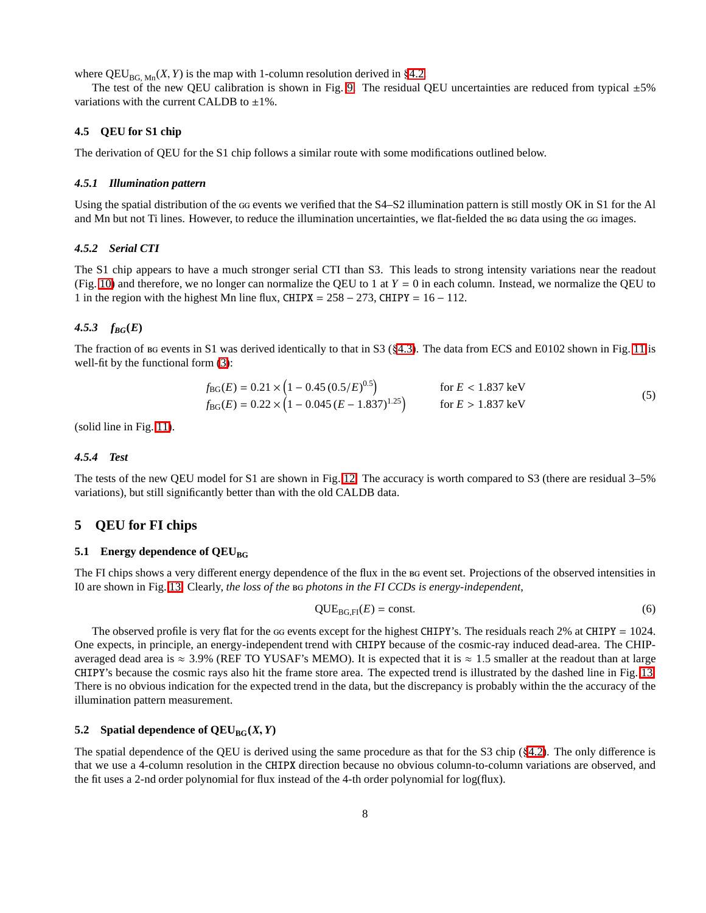where  $QEU_{BG, Mn}(X, Y)$  is the map with 1-column resolution derived in §[4.2.](#page-5-1)

The test of the new QEU calibration is shown in Fig. [9.](#page-8-0) The residual QEU uncertainties are reduced from typical  $\pm 5\%$ variations with the current CALDB to  $\pm 1\%$ .

# <span id="page-7-0"></span>**4.5 QEU for S1 chip**

The derivation of QEU for the S1 chip follows a similar route with some modifications outlined below.

#### *4.5.1 Illumination pattern*

Using the spatial distribution of the GG events we verified that the S4–S2 illumination pattern is still mostly OK in S1 for the Al and Mn but not Ti lines. However, to reduce the illumination uncertainties, we flat-fielded the BG data using the GG images.

#### *4.5.2 Serial CTI*

The S1 chip appears to have a much stronger serial CTI than S3. This leads to strong intensity variations near the readout (Fig. [10\)](#page-9-0) and therefore, we no longer can normalize the QEU to 1 at  $Y = 0$  in each column. Instead, we normalize the QEU to 1 in the region with the highest Mn line flux, CHIPX =  $258 - 273$ , CHIPY =  $16 - 112$ .

#### *4.5.3 fBG***(***E***)**

<span id="page-7-1"></span>The fraction of  $\text{B}$  be events in S1 was derived identically to that in S3 (§[4.3\)](#page-6-0). The data from ECS and E0102 shown in Fig. [11](#page-9-1) is well-fit by the functional form  $(3)$ :

$$
f_{BG}(E) = 0.21 \times (1 - 0.45 (0.5/E)^{0.5}) \qquad \text{for } E < 1.837 \text{ keV}
$$
  
\n
$$
f_{BG}(E) = 0.22 \times (1 - 0.045 (E - 1.837)^{1.25}) \qquad \text{for } E > 1.837 \text{ keV}
$$
\n(5)

(solid line in Fig. [11\)](#page-9-1).

## *4.5.4 Test*

The tests of the new QEU model for S1 are shown in Fig. [12.](#page-10-0) The accuracy is worth compared to S3 (there are residual 3–5% variations), but still significantly better than with the old CALDB data.

# **5 QEU for FI chips**

## **5.1** Energy dependence of  $QEU_{BG}$

The FI chips shows a very different energy dependence of the flux in the BG event set. Projections of the observed intensities in I0 are shown in Fig. [13.](#page-11-0) Clearly, *the loss of the photons in the FI CCDs is energy-independent*,

$$
QUEBG,FI(E) = const.
$$
\n(6)

The observed profile is very flat for the  $\alpha$  events except for the highest CHIPY's. The residuals reach 2% at CHIPY = 1024. One expects, in principle, an energy-independent trend with CHIPY because of the cosmic-ray induced dead-area. The CHIPaveraged dead area is  $\approx 3.9\%$  (REF TO YUSAF's MEMO). It is expected that it is  $\approx 1.5$  smaller at the readout than at large CHIPY's because the cosmic rays also hit the frame store area. The expected trend is illustrated by the dashed line in Fig. [13.](#page-11-0) There is no obvious indication for the expected trend in the data, but the discrepancy is probably within the the accuracy of the illumination pattern measurement.

## **5.2** Spatial dependence of  $QEU_{BG}(X, Y)$

The spatial dependence of the QEU is derived using the same procedure as that for the S3 chip (§[4.2\)](#page-5-1). The only difference is that we use a 4-column resolution in the CHIPX direction because no obvious column-to-column variations are observed, and the fit uses a 2-nd order polynomial for flux instead of the 4-th order polynomial for log(flux).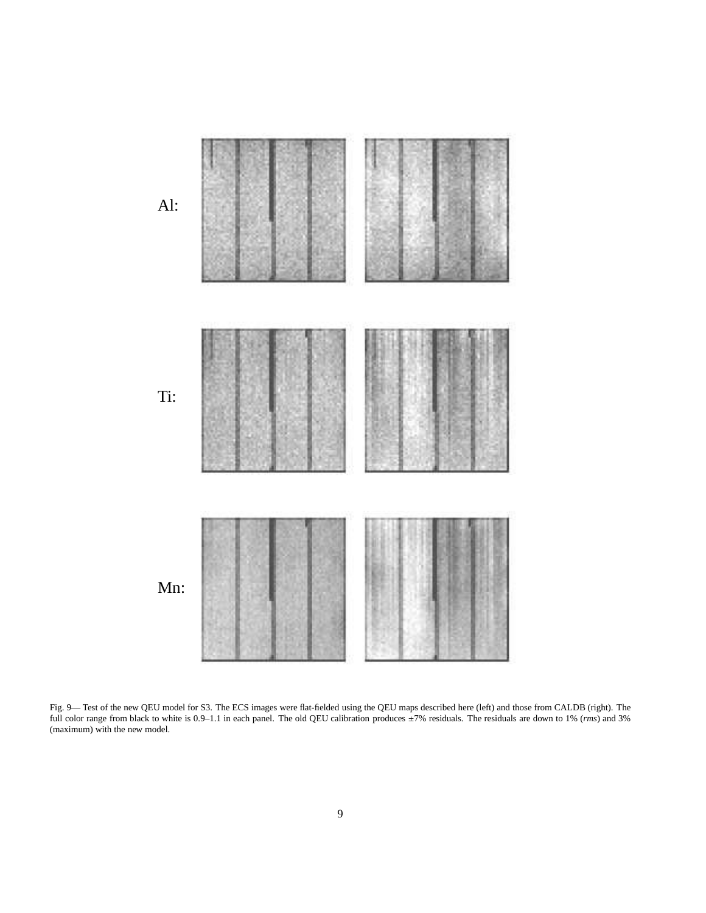

<span id="page-8-0"></span>Fig. 9— Test of the new QEU model for S3. The ECS images were flat-fielded using the QEU maps described here (left) and those from CALDB (right). The full color range from black to white is 0.9–1.1 in each panel. The old QEU calibration produces ±7% residuals. The residuals are down to 1% (*rms*) and 3% (maximum) with the new model.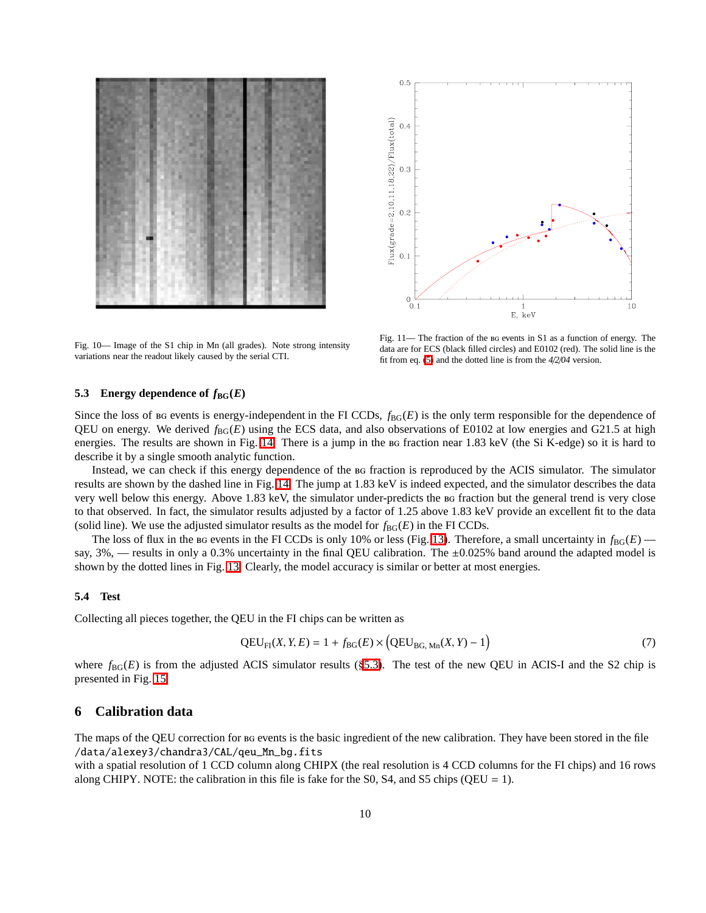



<span id="page-9-0"></span>Fig. 10— Image of the S1 chip in Mn (all grades). Note strong intensity variations near the readout likely caused by the serial CTI.

<span id="page-9-1"></span>Fig. 11— The fraction of the BG events in S1 as a function of energy. The data are for ECS (black filled circles) and E0102 (red). The solid line is the fit from eq. [\(5\)](#page-7-1) and the dotted line is from the *4*/*2*/*04* version.

#### <span id="page-9-2"></span>**5.3** Energy dependence of  $f_{BG}(E)$

Since the loss of  $B$  events is energy-independent in the FI CCDs,  $f_{B}$ <sub>G</sub> $(E)$  is the only term responsible for the dependence of QEU on energy. We derived  $f_{BG}(E)$  using the ECS data, and also observations of E0102 at low energies and G21.5 at high energies. The results are shown in Fig. [14.](#page-11-1) There is a jump in the BG fraction near 1.83 keV (the Si K-edge) so it is hard to describe it by a single smooth analytic function.

Instead, we can check if this energy dependence of the fraction is reproduced by the ACIS simulator. The simulator results are shown by the dashed line in Fig. [14.](#page-11-1) The jump at 1.83 keV is indeed expected, and the simulator describes the data very well below this energy. Above 1.83 keV, the simulator under-predicts the fraction but the general trend is very close to that observed. In fact, the simulator results adjusted by a factor of 1.25 above 1.83 keV provide an excellent fit to the data (solid line). We use the adjusted simulator results as the model for  $f_{BG}(E)$  in the FI CCDs.

The loss of flux in the BG events in the FI CCDs is only 10% or less (Fig. [13\)](#page-11-0). Therefore, a small uncertainty in  $f_{BG}(E)$  say,  $3\%$ , — results in only a 0.3% uncertainty in the final QEU calibration. The  $\pm 0.025\%$  band around the adapted model is shown by the dotted lines in Fig. [13.](#page-11-0) Clearly, the model accuracy is similar or better at most energies.

#### **5.4 Test**

<span id="page-9-3"></span>Collecting all pieces together, the QEU in the FI chips can be written as

$$
QEU_{FI}(X, Y, E) = 1 + f_{BG}(E) \times (QEU_{BG, Mn}(X, Y) - 1)
$$
\n
$$
(7)
$$

where  $f_{BG}(E)$  is from the adjusted ACIS simulator results (§[5.3\)](#page-9-2). The test of the new QEU in ACIS-I and the S2 chip is presented in Fig. [15.](#page-12-0)

# **6 Calibration data**

The maps of the QEU correction for BG events is the basic ingredient of the new calibration. They have been stored in the file /data/alexey3/chandra3/CAL/qeu\_Mn\_bg.fits

with a spatial resolution of 1 CCD column along CHIPX (the real resolution is 4 CCD columns for the FI chips) and 16 rows along CHIPY. NOTE: the calibration in this file is fake for the S0, S4, and S5 chips ( $QEU = 1$ ).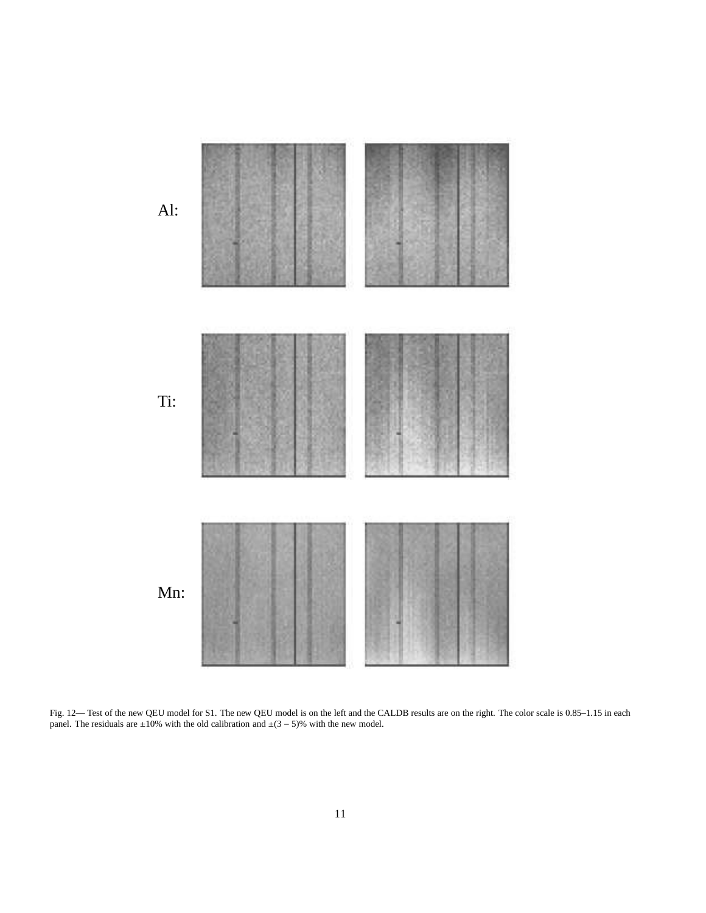

<span id="page-10-0"></span>Fig. 12— Test of the new QEU model for S1. The new QEU model is on the left and the CALDB results are on the right. The color scale is 0.85–1.15 in each panel. The residuals are  $\pm 10\%$  with the old calibration and  $\pm (3 - 5)\%$  with the new model.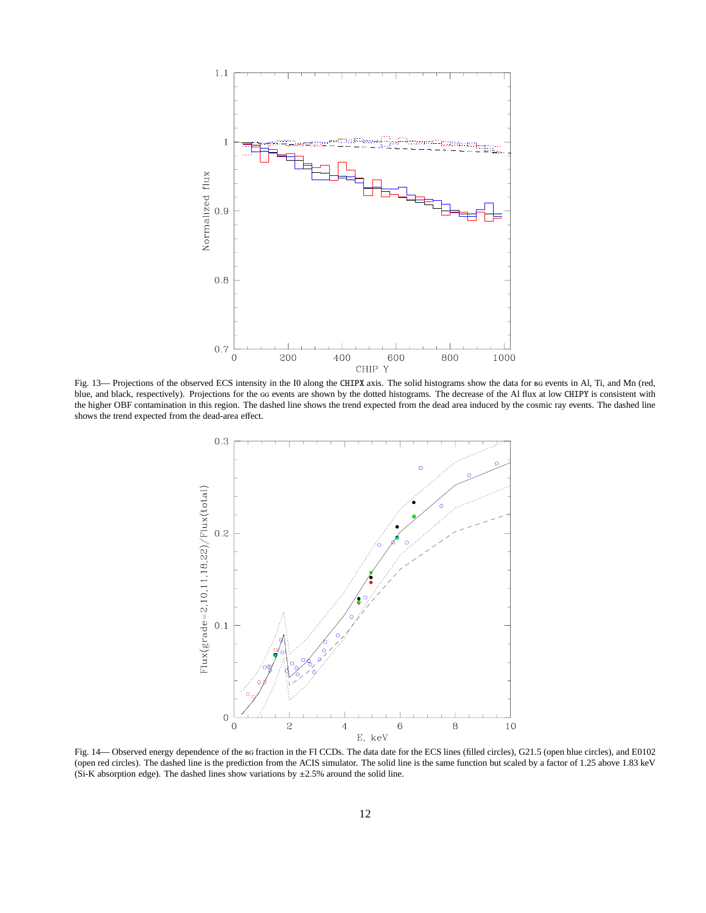

<span id="page-11-0"></span>Fig. 13— Projections of the observed ECS intensity in the I0 along the CHIPX axis. The solid histograms show the data for BG events in Al, Ti, and Mn (red, blue, and black, respectively). Projections for the GG events are shown by the dotted histograms. The decrease of the Al flux at low CHIPY is consistent with the higher OBF contamination in this region. The dashed line shows the trend expected from the dead area induced by the cosmic ray events. The dashed line shows the trend expected from the dead-area effect.



<span id="page-11-1"></span>Fig. 14— Observed energy dependence of the BG fraction in the FI CCDs. The data date for the ECS lines (filled circles), G21.5 (open blue circles), and E0102 (open red circles). The dashed line is the prediction from the ACIS simulator. The solid line is the same function but scaled by a factor of 1.25 above 1.83 keV (Si-K absorption edge). The dashed lines show variations by  $\pm 2.5$ % around the solid line.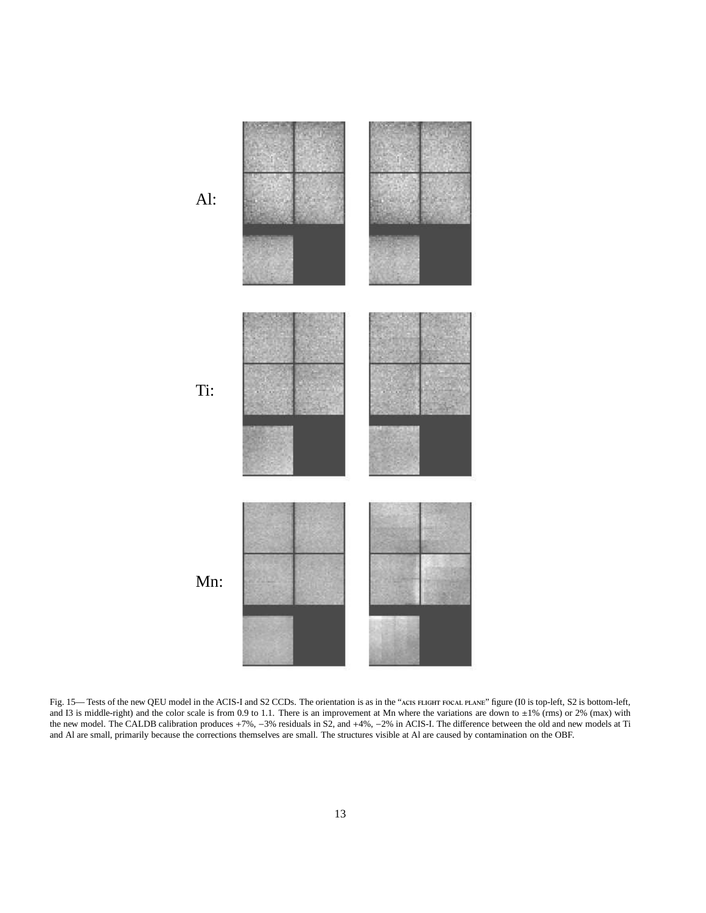

<span id="page-12-0"></span>Fig. 15— Tests of the new QEU model in the ACIS-I and S2 CCDs. The orientation is as in the "ACIS FLIGHT FOCAL PLANE" figure (I0 is top-left, S2 is bottom-left, and I3 is middle-right) and the color scale is from 0.9 to 1.1. There is an improvement at Mn where the variations are down to  $\pm 1\%$  (rms) or 2% (max) with the new model. The CALDB calibration produces +7%, −3% residuals in S2, and +4%, −2% in ACIS-I. The difference between the old and new models at Ti and Al are small, primarily because the corrections themselves are small. The structures visible at Al are caused by contamination on the OBF.